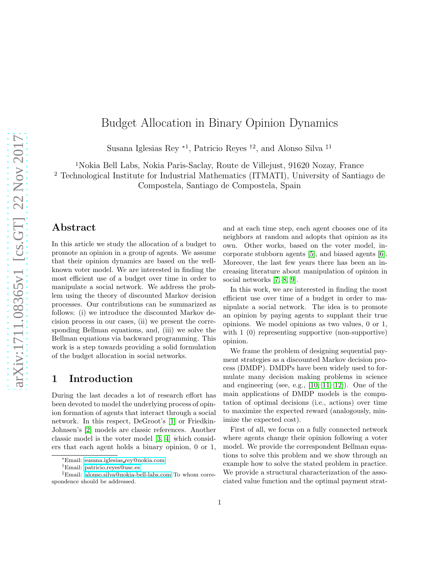# Budget Allocation in Binary Opinion Dynamics

Susana Iglesias Rey <sup>∗</sup><sup>1</sup> , Patricio Reyes †<sup>2</sup> , and Alonso Silva ‡<sup>1</sup>

<sup>1</sup>Nokia Bell Labs, Nokia Paris-Saclay, Route de Villejust, 91620 Nozay, France

<sup>2</sup> Technological Institute for Industrial Mathematics (ITMATI), University of Santiago de

Compostela, Santiago de Compostela, Spain

#### Abstract

In this article we study the allocation of a budget to promote an opinion in a group of agents. We assume that their opinion dynamics are based on the wellknown voter model. We are interested in finding the most efficient use of a budget over time in order to manipulate a social network. We address the problem using the theory of discounted Markov decision processes. Our contributions can be summarized as follows: (i) we introduce the discounted Markov decision process in our cases, (ii) we present the corresponding Bellman equations, and, (iii) we solve the Bellman equations via backward programming. This work is a step towards providing a solid formulation of the budget allocation in social networks.

#### 1 Introduction

During the last decades a lot of research effort has been devoted to model the underlying process of opinion formation of agents that interact through a social network. In this respect, DeGroot's [\[1\]](#page-4-0) or Friedkin-Johnsen's [\[2\]](#page-4-1) models are classic references. Another classic model is the voter model [\[3,](#page-4-2) [4\]](#page-4-3) which considers that each agent holds a binary opinion, 0 or 1,

and at each time step, each agent chooses one of its neighbors at random and adopts that opinion as its own. Other works, based on the voter model, incorporate stubborn agents [\[5\]](#page-4-4), and biased agents [\[6\]](#page-4-5). Moreover, the last few years there has been an increasing literature about manipulation of opinion in social networks [\[7,](#page-4-6) [8,](#page-4-7) [9\]](#page-4-8).

In this work, we are interested in finding the most efficient use over time of a budget in order to manipulate a social network. The idea is to promote an opinion by paying agents to supplant their true opinions. We model opinions as two values, 0 or 1, with 1 (0) representing supportive (non-supportive) opinion.

We frame the problem of designing sequential payment strategies as a discounted Markov decision process (DMDP). DMDPs have been widely used to formulate many decision making problems in science and engineering (see, e.g., [\[10,](#page-4-9) [11,](#page-4-10) [12\]](#page-4-11)). One of the main applications of DMDP models is the computation of optimal decisions (i.e., actions) over time to maximize the expected reward (analogously, minimize the expected cost).

First of all, we focus on a fully connected network where agents change their opinion following a voter model. We provide the correspondent Bellman equations to solve this problem and we show through an example how to solve the stated problem in practice. We provide a structural characterization of the associated value function and the optimal payment strat-

<sup>∗</sup>Email: susana.iglesias [rey@nokia.com](mailto:susana.iglesias_rey@nokia.com)

<sup>†</sup>Email: [patricio.reyes@usc.es](mailto:patricio.reyes@usc.es)

<sup>‡</sup>Email: [alonso.silva@nokia-bell-labs.com](mailto:alonso.silva@nokia-bell-labs.com) To whom correspondence should be addressed.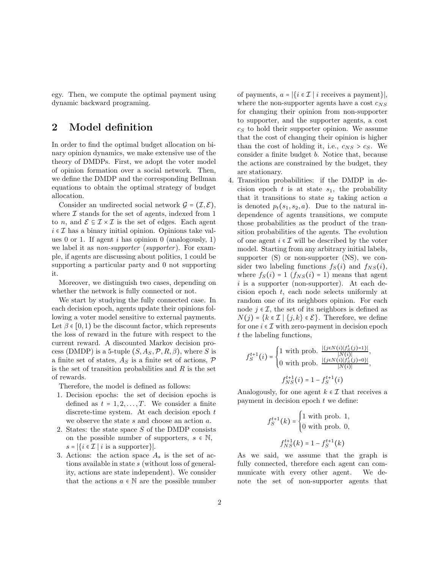egy. Then, we compute the optimal payment using dynamic backward programing.

#### 2 Model definition

In order to find the optimal budget allocation on binary opinion dynamics, we make extensive use of the theory of DMDPs. First, we adopt the voter model of opinion formation over a social network. Then, we define the DMDP and the corresponding Bellman equations to obtain the optimal strategy of budget allocation.

Consider an undirected social network  $\mathcal{G} = (\mathcal{I}, \mathcal{E}),$ where  $\mathcal I$  stands for the set of agents, indexed from 1 to *n*, and  $\mathcal{E} \subseteq \mathcal{I} \times \mathcal{I}$  is the set of edges. Each agent  $i \in \mathcal{I}$  has a binary initial opinion. Opinions take values 0 or 1. If agent i has opinion 0 (analogously, 1) we label it as *non-supporter* (*supporter*). For example, if agents are discussing about politics, 1 could be supporting a particular party and 0 not supporting it.

Moreover, we distinguish two cases, depending on whether the network is fully connected or not.

We start by studying the fully connected case. In each decision epoch, agents update their opinions following a voter model sensitive to external payments. Let  $\beta \in [0, 1)$  be the discount factor, which represents the loss of reward in the future with respect to the current reward. A discounted Markov decision process (DMDP) is a 5-tuple  $(S, A<sub>S</sub>, P, R, \beta)$ , where S is a finite set of states,  $A_S$  is a finite set of actions,  $\mathcal P$ is the set of transition probabilities and  $R$  is the set of rewards.

Therefore, the model is defined as follows:

- 1. Decision epochs: the set of decision epochs is defined as  $t = 1, 2, \ldots, T$ . We consider a finite discrete-time system. At each decision epoch  $t$ we observe the state s and choose an action a.
- 2. States: the state space  $S$  of the DMDP consists on the possible number of supporters,  $s \in \mathbb{N}$ ,  $s = |\{i \in \mathcal{I} \mid i \text{ is a supporter}\}|.$
- 3. Actions: the action space  $A_s$  is the set of actions available in state s (without loss of generality, actions are state independent). We consider that the actions  $a \in \mathbb{N}$  are the possible number

of payments,  $a = |\{i \in \mathcal{I} \mid i \text{ receives a payment}\}|,$ where the non-supporter agents have a cost  $c_{NS}$ for changing their opinion from non-supporter to supporter, and the supporter agents, a cost  $c<sub>S</sub>$  to hold their supporter opinion. We assume that the cost of changing their opinion is higher than the cost of holding it, i.e.,  $c_{NS} > c_S$ . We consider a finite budget b. Notice that, because the actions are constrained by the budget, they are stationary.

4. Transition probabilities: if the DMDP in decision epoch  $t$  is at state  $s_1$ , the probability that it transitions to state  $s_2$  taking action  $a$ is denoted  $p_t(s_1, s_2, a)$ . Due to the natural independence of agents transitions, we compute those probabilities as the product of the transition probabilities of the agents. The evolution of one agent  $i \in \mathcal{I}$  will be described by the voter model. Starting from any arbitrary initial labels, supporter  $(S)$  or non-supporter  $(NS)$ , we consider two labeling functions  $f_S(i)$  and  $f_{NS}(i)$ , where  $f_S(i) = 1$   $(f_{NS}(i) = 1)$  means that agent  $i$  is a supporter (non-supporter). At each decision epoch t, each node selects uniformly at random one of its neighbors opinion. For each node  $j \in \mathcal{I}$ , the set of its neighbors is defined as  $N(j) = \{k \in \mathcal{I} \mid \{j,k\} \in \mathcal{E}\}.$  Therefore, we define for one  $i \in \mathcal{I}$  with zero-payment in decision epoch t the labeling functions,

$$
f_S^{t+1}(i) = \begin{cases} 1 \text{ with prob. } \frac{|\{j \in N(i)|f_S^t(j)=1\}|}{|N(i)|}, \\ 0 \text{ with prob. } \frac{|\{j \in N(i)|f_S^t(j)=0\}|}{|N(i)|}, \\ f_{NS}^{t+1}(i) = 1 - f_S^{t+1}(i) \end{cases}
$$

Analogously, for one agent  $k \in \mathcal{I}$  that receives a payment in decision epoch  $t$  we define:

$$
f_S^{t+1}(k) = \begin{cases} 1 \text{ with prob. 1,} \\ 0 \text{ with prob. 0,} \\ f_{NS}^{t+1}(k) = 1 - f_S^{t+1}(k) \end{cases}
$$

As we said, we assume that the graph is fully connected, therefore each agent can communicate with every other agent. We denote the set of non-supporter agents that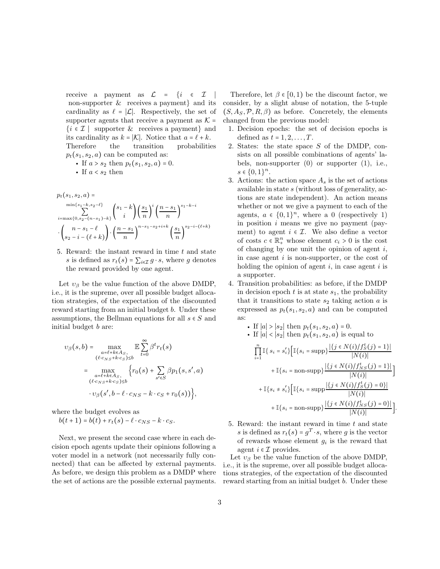receive a payment as  $\mathcal{L} = \{i \in \mathcal{I}$ non-supporter & receives a payment} and its cardinality as  $\ell = |\mathcal{L}|$ . Respectively, the set of supporter agents that receive a payment as  $K =$  $\{i \in \mathcal{I} \mid \text{ supporter } \& \text{ receives a payment}\}\$ and its cardinality as  $k = |\mathcal{K}|$ . Notice that  $a = \ell + k$ . Therefore the transition probabilities  $p_t(s_1, s_2, a)$  can be computed as:

• If 
$$
a > s_2
$$
 then  $p_t(s_1, s_2, a) = 0$ .

- If 
$$
a < s_2
$$
 then

$$
p_t(s_1, s_2, a) = \sum_{i=\max\{0, s_2 - (n-s_1) - k\}}^{\min\{s_1 - k, s_2 - \ell\}} \binom{s_1 - k}{i} \left(\frac{s_1}{n}\right)^i \left(\frac{n - s_1}{n}\right)^{s_1 - k - i} \cdot \binom{n - s_1 - \ell}{s_2 - i - (\ell + k)} \cdot \left(\frac{n - s_1}{n}\right)^{n - s_1 - s_2 + i + k} \left(\frac{s_1}{n}\right)^{s_2 - i - (\ell + k)}
$$

5. Reward: the instant reward in time t and state s is defined as  $r_t(s) = \sum_{i \in \mathcal{I}} g \cdot s$ , where g denotes the reward provided by one agent.

Let  $v_{\beta}$  be the value function of the above DMDP, i.e., it is the supreme, over all possible budget allocation strategies, of the expectation of the discounted reward starting from an initial budget b. Under these assumptions, the Bellman equations for all  $s \in S$  and initial budget b are:

$$
v_{\beta}(s,b) = \max_{\substack{a=\ell+k\in A_{S},\\(\ell\cdot c_{NS}+k\cdot c_{S})\leq b}} \mathbb{E}\sum_{t=0}^{\infty} \beta^{t} r_{t}(s)
$$

$$
= \max_{\substack{a=\ell+k\in A_{S},\\(\ell\cdot c_{NS}+k\cdot c_{S})\leq b}} \left\{r_{0}(s) + \sum_{s'\in S} \beta p_{1}(s,s',a) \right\}
$$

$$
\cdot v_{\beta}(s',b-\ell\cdot c_{NS}-k\cdot c_{S}+r_{0}(s)) \Big\},
$$

where the budget evolves as

$$
b(t+1) = b(t) + r_t(s) - \ell \cdot c_{NS} - k \cdot c_S.
$$

Next, we present the second case where in each decision epoch agents update their opinions following a voter model in a network (not necessarily fully connected) that can be affected by external payments. As before, we design this problem as a DMDP where the set of actions are the possible external payments.

Therefore, let  $\beta \in [0,1)$  be the discount factor, we consider, by a slight abuse of notation, the 5-tuple  $(S, A_S, \mathcal{P}, R, \beta)$  as before. Concretely, the elements changed from the previous model:

- 1. Decision epochs: the set of decision epochs is defined as  $t = 1, 2, \ldots, T$ .
- 2. States: the state space S of the DMDP, consists on all possible combinations of agents' labels, non-supporter  $(0)$  or supporter  $(1)$ , i.e.,  $s \in \{0,1\}^n$ .
- 3. Actions: the action space  $A_s$  is the set of actions available in state s (without loss of generality, actions are state independent). An action means whether or not we give a payment to each of the agents,  $a \in \{0,1\}^n$ , where a 0 (respectively 1) in position i means we give no payment (payment) to agent  $i \in \mathcal{I}$ . We also define a vector of costs  $c \in \mathbb{R}_+^n$  whose element  $c_i > 0$  is the cost of changing by one unit the opinion of agent  $i$ , in case agent  $i$  is non-supporter, or the cost of holding the opinion of agent  $i$ , in case agent  $i$  is a supporter.
- 4. Transition probabilities: as before, if the DMDP in decision epoch  $t$  is at state  $s_1$ , the probability that it transitions to state  $s_2$  taking action a is expressed as  $p_t(s_1, s_2, a)$  and can be computed as:

• If 
$$
|a| > |s_2|
$$
 then  $p_t(s_1, s_2, a) = 0$ .  
\n• If  $|a| < |s_2|$  then  $p_t(s_1, s_2, a)$  is equal to  
\n
$$
\prod_{i=1}^n \mathbb{I}\{s_i = s'_i\} \Big[ \mathbb{I}\{s_i = \text{supp}\}\frac{|\{j \in N(i)/f_S^t(j) = 1\}|}{|N(i)|} + \mathbb{I}\{s_i = \text{non-supp}\}\frac{|\{j \in N(i)/f_{NS}^t(j) = 1\}|}{|N(i)|} + \mathbb{I}\{s_i \neq s'_i\} \Big[ \mathbb{I}\{s_i = \text{supp}\frac{|\{j \in N(i)/f_S^t(j) = 0\}|}{|N(i)|} + \mathbb{I}\{s_i = \text{non-supp}\}\frac{|\{j \in N(i)/f_{NS}^t(j) = 0\}|}{|N(i)|} \Big].
$$

5. Reward: the instant reward in time  $t$  and state s is defined as  $r_t(s) = g^T \cdot s$ , where g is the vector of rewards whose element  $g_i$  is the reward that agent  $i \in \mathcal{I}$  provides.

Let  $v_{\beta}$  be the value function of the above DMDP, i.e., it is the supreme, over all possible budget allocations strategies, of the expectation of the discounted reward starting from an initial budget b. Under these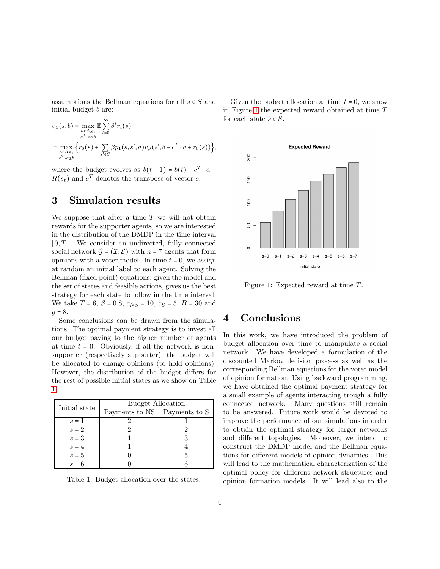assumptions the Bellman equations for all  $s \in S$  and initial budget b are:

$$
v_{\beta}(s,b) = \max_{\substack{a \in A_{S}, \\ c^{T} \cdot a \leq b}} \mathbb{E} \sum_{t=0}^{\infty} \beta^{t} r_{t}(s)
$$
  
= 
$$
\max_{\substack{a \in A_{S}, \\ c^{T} \cdot a \leq b}} \left\{ r_{0}(s) + \sum_{s' \in S} \beta p_{1}(s, s', a) v_{\beta}(s', b - c^{T} \cdot a + r_{0}(s)) \right\},\
$$

where the budget evolves as  $b(t + 1) = b(t) - c^T \cdot a +$  $R(s_t)$  and  $c^T$  denotes the transpose of vector c.

#### 3 Simulation results

We suppose that after a time  $T$  we will not obtain rewards for the supporter agents, so we are interested in the distribution of the DMDP in the time interval  $[0, T]$ . We consider an undirected, fully connected social network  $\mathcal{G} = (\mathcal{I}, \mathcal{E})$  with  $n = 7$  agents that form opinions with a voter model. In time  $t = 0$ , we assign at random an initial label to each agent. Solving the Bellman (fixed point) equations, given the model and the set of states and feasible actions, gives us the best strategy for each state to follow in the time interval. We take  $T = 6$ ,  $\beta = 0.8$ ,  $c_{NS} = 10$ ,  $c_S = 5$ ,  $B = 30$  and  $g = 8.$ 

Some conclusions can be drawn from the simulations. The optimal payment strategy is to invest all our budget paying to the higher number of agents at time  $t = 0$ . Obviously, if all the network is nonsupporter (respectively supporter), the budget will be allocated to change opinions (to hold opinions). However, the distribution of the budget differs for the rest of possible initial states as we show on Table [1.](#page-3-0)

| Initial state  | <b>Budget Allocation</b>     |   |
|----------------|------------------------------|---|
|                | Payments to NS Payments to S |   |
| $s=1$          |                              |   |
| $\sqrt{s} = 2$ |                              |   |
| $s=3$          |                              |   |
| $s = 4$        |                              |   |
| $s=5$          |                              | 5 |
| $s = 6$        |                              |   |

<span id="page-3-0"></span>Table 1: Budget allocation over the states.

Given the budget allocation at time  $t = 0$ , we show in Figure [1](#page-3-1) the expected reward obtained at time T for each state  $s \in S$ .



<span id="page-3-1"></span>Figure 1: Expected reward at time  $T$ .

#### 4 Conclusions

In this work, we have introduced the problem of budget allocation over time to manipulate a social network. We have developed a formulation of the discounted Markov decision process as well as the corresponding Bellman equations for the voter model of opinion formation. Using backward programming, we have obtained the optimal payment strategy for a small example of agents interacting trough a fully connected network. Many questions still remain to be answered. Future work would be devoted to improve the performance of our simulations in order to obtain the optimal strategy for larger networks and different topologies. Moreover, we intend to construct the DMDP model and the Bellman equations for different models of opinion dynamics. This will lead to the mathematical characterization of the optimal policy for different network structures and opinion formation models. It will lead also to the